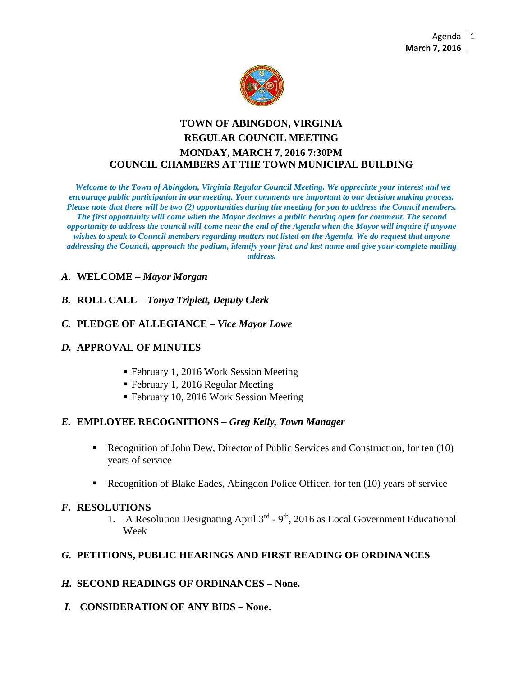

# **TOWN OF ABINGDON, VIRGINIA REGULAR COUNCIL MEETING MONDAY, MARCH 7, 2016 7:30PM COUNCIL CHAMBERS AT THE TOWN MUNICIPAL BUILDING**

*Welcome to the Town of Abingdon, Virginia Regular Council Meeting. We appreciate your interest and we encourage public participation in our meeting. Your comments are important to our decision making process. Please note that there will be two (2) opportunities during the meeting for you to address the Council members. The first opportunity will come when the Mayor declares a public hearing open for comment. The second opportunity to address the council will come near the end of the Agenda when the Mayor will inquire if anyone wishes to speak to Council members regarding matters not listed on the Agenda. We do request that anyone addressing the Council, approach the podium, identify your first and last name and give your complete mailing address.*

#### *A.* **WELCOME –** *Mayor Morgan*

*B.* **ROLL CALL –** *Tonya Triplett, Deputy Clerk*

### *C.* **PLEDGE OF ALLEGIANCE –** *Vice Mayor Lowe*

#### *D.* **APPROVAL OF MINUTES**

- February 1, 2016 Work Session Meeting
- February 1, 2016 Regular Meeting
- February 10, 2016 Work Session Meeting

#### *E.* **EMPLOYEE RECOGNITIONS –** *Greg Kelly, Town Manager*

- Recognition of John Dew, Director of Public Services and Construction, for ten (10) years of service
- Recognition of Blake Eades, Abingdon Police Officer, for ten (10) years of service

#### *F.* **RESOLUTIONS**

1. A Resolution Designating April 3<sup>rd</sup> - 9<sup>th</sup>, 2016 as Local Government Educational Week

#### *G.* **PETITIONS, PUBLIC HEARINGS AND FIRST READING OF ORDINANCES**

#### *H.* **SECOND READINGS OF ORDINANCES – None.**

*I.* **CONSIDERATION OF ANY BIDS – None.**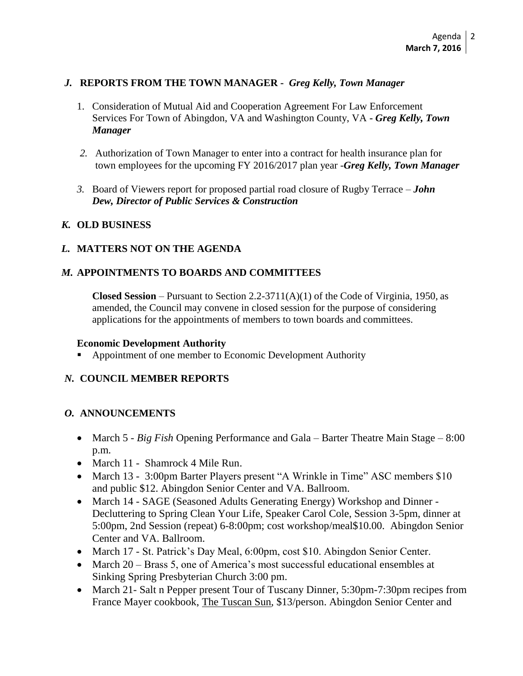### *J.* **REPORTS FROM THE TOWN MANAGER -** *Greg Kelly, Town Manager*

- 1. Consideration of Mutual Aid and Cooperation Agreement For Law Enforcement Services For Town of Abingdon, VA and Washington County, VA **-** *Greg Kelly, Town Manager*
- *2.* Authorization of Town Manager to enter into a contract for health insurance plan for town employees for the upcoming FY 2016/2017 plan year -*Greg Kelly, Town Manager*
- *3.* Board of Viewers report for proposed partial road closure of Rugby Terrace *John Dew, Director of Public Services & Construction*

### *K.* **OLD BUSINESS**

## *L.* **MATTERS NOT ON THE AGENDA**

### *M.* **APPOINTMENTS TO BOARDS AND COMMITTEES**

**Closed Session** – Pursuant to Section 2.2-3711(A)(1) of the Code of Virginia, 1950, as amended, the Council may convene in closed session for the purpose of considering applications for the appointments of members to town boards and committees.

#### **Economic Development Authority**

Appointment of one member to Economic Development Authority

### *N.* **COUNCIL MEMBER REPORTS**

### *O.* **ANNOUNCEMENTS**

- March 5 *Big Fish* Opening Performance and Gala Barter Theatre Main Stage 8:00 p.m.
- March 11 Shamrock 4 Mile Run.
- March 13 3:00pm Barter Players present "A Wrinkle in Time" ASC members \$10 and public \$12. Abingdon Senior Center and VA. Ballroom.
- March 14 SAGE (Seasoned Adults Generating Energy) Workshop and Dinner -Decluttering to Spring Clean Your Life, Speaker Carol Cole, Session 3-5pm, dinner at 5:00pm, 2nd Session (repeat) 6-8:00pm; cost workshop/meal\$10.00. Abingdon Senior Center and VA. Ballroom.
- March 17 St. Patrick's Day Meal, 6:00pm, cost \$10. Abingdon Senior Center.
- March 20 Brass 5, one of America's most successful educational ensembles at Sinking Spring Presbyterian Church 3:00 pm.
- March 21- Salt n Pepper present Tour of Tuscany Dinner, 5:30pm-7:30pm recipes from France Mayer cookbook, The Tuscan Sun, \$13/person. Abingdon Senior Center and